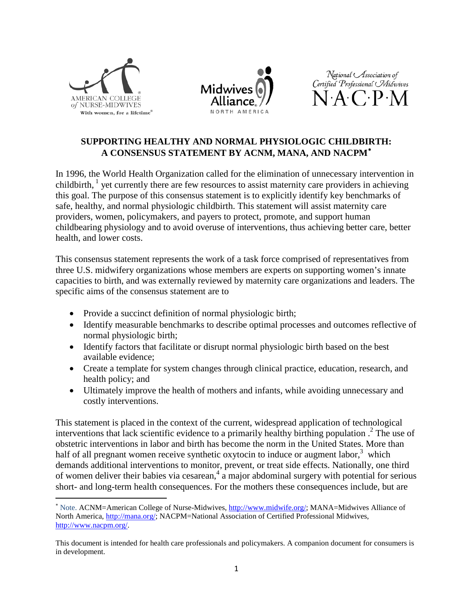

 $\overline{\phantom{a}}$ 





# **SUPPORTING HEALTHY AND NORMAL PHYSIOLOGIC CHILDBIRTH: A CONSENSUS STATEMENT BY ACNM, MANA, AND NACPM**[∗](#page-0-0)

In 1996, the World Health Organization called for the elimination of unnecessary intervention in childbirth,  $\frac{1}{1}$  yet currently there are few resources to assist maternity care providers in achieving this goal. The purpose of this consensus statement is to explicitly identify key benchmarks of safe, healthy, and normal physiologic childbirth. This statement will assist maternity care providers, women, policymakers, and payers to protect, promote, and support human childbearing physiology and to avoid overuse of interventions, thus achieving better care, better health, and lower costs.

This consensus statement represents the work of a task force comprised of representatives from three U.S. midwifery organizations whose members are experts on supporting women's innate capacities to birth, and was externally reviewed by maternity care organizations and leaders. The specific aims of the consensus statement are to

- Provide a succinct definition of normal physiologic birth;
- Identify measurable benchmarks to describe optimal processes and outcomes reflective of normal physiologic birth;
- Identify factors that facilitate or disrupt normal physiologic birth based on the best available evidence;
- Create a template for system changes through clinical practice, education, research, and health policy; and
- Ultimately improve the health of mothers and infants, while avoiding unnecessary and costly interventions.

This statement is placed in the context of the current, widespread application of technological interventions that lack scientific evidence to a primarily healthy birthing population .<sup>2</sup> The use of obstetric interventions in labor and birth has become the norm in the United States. More than half of all pregnant women receive synthetic oxytocin to induce or augment labor, $3$  which demands additional interventions to monitor, prevent, or treat side effects. Nationally, one third of women deliver their babies via cesarean,  $4 \text{ a major abdominal surgery with potential for serious}$ short- and long-term health consequences. For the mothers these consequences include, but are

<span id="page-0-0"></span><sup>∗</sup> Note. ACNM=American College of Nurse-Midwives, [http://www.midwife.org/;](http://www.midwife.org/) MANA=Midwives Alliance of North America, [http://mana.org/;](http://mana.org/) NACPM=National Association of Certified Professional Midwives, [http://www.nacpm.org/.](http://www.nacpm.org/)

This document is intended for health care professionals and policymakers. A companion document for consumers is in development.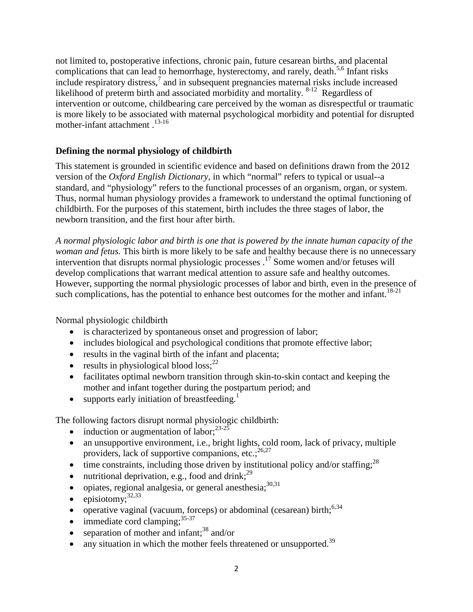not limited to, postoperative infections, chronic pain, future cesarean births, and placental complications that can lead to hemorrhage, hysterectomy, and rarely, death.<sup>5,6</sup> Infant risks include respiratory distress,<sup>7</sup> and in subsequent pregnancies maternal risks include increased likelihood of preterm birth and associated morbidity and mortality. <sup>8-12</sup> Regardless of intervention or outcome, childbearing care perceived by the woman as disrespectful or traumatic is more likely to be associated with maternal psychological morbidity and potential for disrupted mother-infant attachment .<sup>13-16</sup>

# **Defining the normal physiology of childbirth**

This statement is grounded in scientific evidence and based on definitions drawn from the 2012 version of the *Oxford English Dictionary*, in which "normal" refers to typical or usual--a standard, and "physiology" refers to the functional processes of an organism, organ, or system. Thus, normal human physiology provides a framework to understand the optimal functioning of childbirth. For the purposes of this statement, birth includes the three stages of labor, the newborn transition, and the first hour after birth.

*A normal physiologic labor and birth is one that is powered by the innate human capacity of the woman and fetus.* This birth is more likely to be safe and healthy because there is no unnecessary intervention that disrupts normal physiologic processes . <sup>17</sup> Some women and/or fetuses will develop complications that warrant medical attention to assure safe and healthy outcomes. However, supporting the normal physiologic processes of labor and birth, even in the presence of such complications, has the potential to enhance best outcomes for the mother and infant.<sup>18-21</sup>

Normal physiologic childbirth

- is characterized by spontaneous onset and progression of labor;
- includes biological and psychological conditions that promote effective labor;
- results in the vaginal birth of the infant and placenta;
- results in physiological blood loss; $^{22}$
- facilitates optimal newborn transition through skin-to-skin contact and keeping the mother and infant together during the postpartum period; and
- supports early initiation of breastfeeding.<sup>1</sup>

The following factors disrupt normal physiologic childbirth:

- induction or augmentation of labor; $^{23-25}$
- an unsupportive environment, i.e., bright lights, cold room, lack of privacy, multiple providers, lack of supportive companions, etc.;<sup>26,27</sup>
- $\bullet$  time constraints, including those driven by institutional policy and/or staffing;  $^{28}$
- $\bullet$  nutritional deprivation, e.g., food and drink;<sup>29</sup>
- $\bullet$  opiates, regional analgesia, or general anesthesia;  $30,31$
- $\bullet$  episiotomy;<sup>32,33</sup>
- operative vaginal (vacuum, forceps) or abdominal (cesarean) birth; $6,34$
- $\bullet$  immediate cord clamping;  $35-37$
- separation of mother and infant;<sup>38</sup> and/or
- any situation in which the mother feels threatened or unsupported.<sup>39</sup>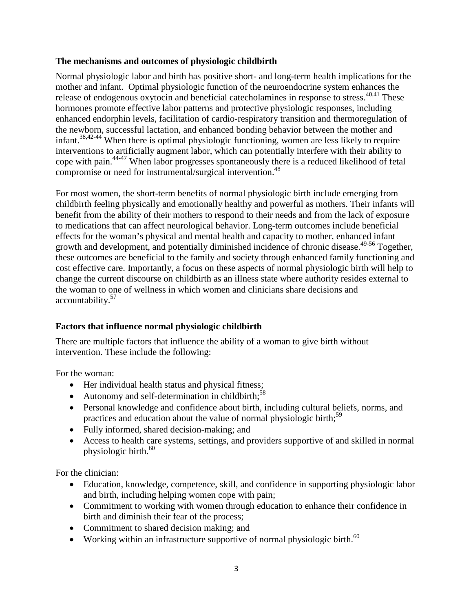### **The mechanisms and outcomes of physiologic childbirth**

Normal physiologic labor and birth has positive short- and long-term health implications for the mother and infant. Optimal physiologic function of the neuroendocrine system enhances the release of endogenous oxytocin and beneficial catecholamines in response to stress.<sup>40,41</sup> These hormones promote effective labor patterns and protective physiologic responses, including enhanced endorphin levels, facilitation of cardio-respiratory transition and thermoregulation of the newborn, successful lactation, and enhanced bonding behavior between the mother and infant. 38,42-44 When there is optimal physiologic functioning, women are less likely to require interventions to artificially augment labor, which can potentially interfere with their ability to cope with pain. 44-47 When labor progresses spontaneously there is a reduced likelihood of fetal compromise or need for instrumental/surgical intervention.<sup>48</sup>

For most women, the short-term benefits of normal physiologic birth include emerging from childbirth feeling physically and emotionally healthy and powerful as mothers. Their infants will benefit from the ability of their mothers to respond to their needs and from the lack of exposure to medications that can affect neurological behavior. Long-term outcomes include beneficial effects for the woman's physical and mental health and capacity to mother, enhanced infant growth and development, and potentially diminished incidence of chronic disease. 49-56 Together, these outcomes are beneficial to the family and society through enhanced family functioning and cost effective care. Importantly, a focus on these aspects of normal physiologic birth will help to change the current discourse on childbirth as an illness state where authority resides external to the woman to one of wellness in which women and clinicians share decisions and accountability. 57

### **Factors that influence normal physiologic childbirth**

There are multiple factors that influence the ability of a woman to give birth without intervention. These include the following:

For the woman:

- Her individual health status and physical fitness;
- Autonomy and self-determination in childbirth;<sup>58</sup>
- Personal knowledge and confidence about birth, including cultural beliefs, norms, and practices and education about the value of normal physiologic birth;<sup>59</sup>
- Fully informed, shared decision-making; and
- Access to health care systems, settings, and providers supportive of and skilled in normal physiologic birth. 60

For the clinician:

- Education, knowledge, competence, skill, and confidence in supporting physiologic labor and birth, including helping women cope with pain;
- Commitment to working with women through education to enhance their confidence in birth and diminish their fear of the process;
- Commitment to shared decision making; and
- Working within an infrastructure supportive of normal physiologic birth.<sup>60</sup>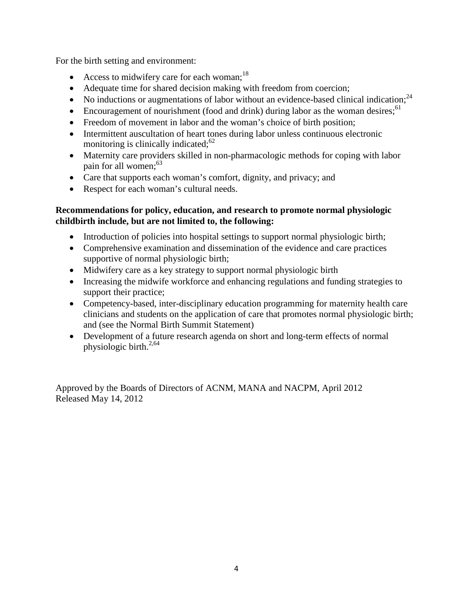For the birth setting and environment:

- Access to midwifery care for each woman;<sup>18</sup>
- Adequate time for shared decision making with freedom from coercion;
- No inductions or augmentations of labor without an evidence-based clinical indication;<sup>24</sup>
- Encouragement of nourishment (food and drink) during labor as the woman desires;<sup>61</sup>
- Freedom of movement in labor and the woman's choice of birth position;
- Intermittent auscultation of heart tones during labor unless continuous electronic monitoring is clinically indicated;<sup>62</sup>
- Maternity care providers skilled in non-pharmacologic methods for coping with labor pain for all women; 63
- Care that supports each woman's comfort, dignity, and privacy; and
- Respect for each woman's cultural needs.

## **Recommendations for policy, education, and research to promote normal physiologic childbirth include, but are not limited to, the following:**

- Introduction of policies into hospital settings to support normal physiologic birth;
- Comprehensive examination and dissemination of the evidence and care practices supportive of normal physiologic birth;
- Midwifery care as a key strategy to support normal physiologic birth
- Increasing the midwife workforce and enhancing regulations and funding strategies to support their practice;
- Competency-based, inter-disciplinary education programming for maternity health care clinicians and students on the application of care that promotes normal physiologic birth; and (see the Normal Birth Summit Statement)
- Development of a future research agenda on short and long-term effects of normal physiologic birth. $2,64$

Approved by the Boards of Directors of ACNM, MANA and NACPM, April 2012 Released May 14, 2012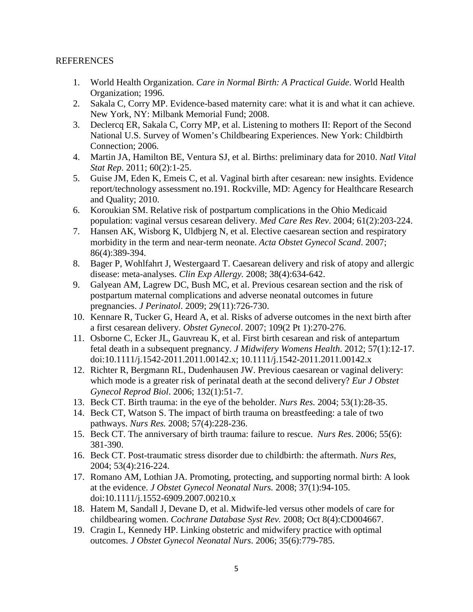#### **REFERENCES**

- 1. World Health Organization. *Care in Normal Birth: A Practical Guide*. World Health Organization; 1996.
- 2. Sakala C, Corry MP. Evidence-based maternity care: what it is and what it can achieve. New York, NY: Milbank Memorial Fund; 2008.
- 3. Declercq ER, Sakala C, Corry MP, et al. Listening to mothers II: Report of the Second National U.S. Survey of Women's Childbearing Experiences. New York: Childbirth Connection; 2006.
- 4. Martin JA, Hamilton BE, Ventura SJ, et al. Births: preliminary data for 2010. *Natl Vital Stat Rep*. 2011; 60(2):1-25.
- 5. Guise JM, Eden K, Emeis C, et al. Vaginal birth after cesarean: new insights. Evidence report/technology assessment no.191. Rockville, MD: Agency for Healthcare Research and Quality; 2010.
- 6. Koroukian SM. Relative risk of postpartum complications in the Ohio Medicaid population: vaginal versus cesarean delivery. *Med Care Res Rev*. 2004; 61(2):203-224.
- 7. Hansen AK, Wisborg K, Uldbjerg N, et al. Elective caesarean section and respiratory morbidity in the term and near-term neonate. *Acta Obstet Gynecol Scand*. 2007; 86(4):389-394.
- 8. Bager P, Wohlfahrt J, Westergaard T. Caesarean delivery and risk of atopy and allergic disease: meta-analyses. *Clin Exp Allergy.* 2008; 38(4):634-642.
- 9. Galyean AM, Lagrew DC, Bush MC, et al. Previous cesarean section and the risk of postpartum maternal complications and adverse neonatal outcomes in future pregnancies. *J Perinatol*. 2009; 29(11):726-730.
- 10. Kennare R, Tucker G, Heard A, et al. Risks of adverse outcomes in the next birth after a first cesarean delivery. *Obstet Gynecol*. 2007; 109(2 Pt 1):270-276.
- 11. Osborne C, Ecker JL, Gauvreau K, et al. First birth cesarean and risk of antepartum fetal death in a subsequent pregnancy. *J Midwifery Womens Health*. 2012; 57(1):12-17. doi:10.1111/j.1542-2011.2011.00142.x; 10.1111/j.1542-2011.2011.00142.x
- 12. Richter R, Bergmann RL, Dudenhausen JW. Previous caesarean or vaginal delivery: which mode is a greater risk of perinatal death at the second delivery? *Eur J Obstet Gynecol Reprod Biol*. 2006; 132(1):51-7.
- 13. Beck CT. Birth trauma: in the eye of the beholder. *Nurs Res.* 2004; 53(1):28-35.
- 14. Beck CT, Watson S. The impact of birth trauma on breastfeeding: a tale of two pathways. *Nurs Res.* 2008; 57(4):228-236.
- 15. Beck CT. The anniversary of birth trauma: failure to rescue. *Nurs Res*. 2006; 55(6): 381-390.
- 16. Beck CT. Post-traumatic stress disorder due to childbirth: the aftermath. *Nurs Res*, 2004; 53(4):216-224.
- 17. Romano AM, Lothian JA. Promoting, protecting, and supporting normal birth: A look at the evidence. *J Obstet Gynecol Neonatal Nurs.* 2008; 37(1):94-105. doi:10.1111/j.1552-6909.2007.00210.x
- 18. Hatem M, Sandall J, Devane D, et al. Midwife-led versus other models of care for childbearing women. *[Cochrane Database Syst Rev.](http://www.ncbi.nlm.nih.gov/pubmed/18843666)* 2008; Oct 8(4):CD004667.
- 19. Cragin L, Kennedy HP. Linking obstetric and midwifery practice with optimal outcomes. *J Obstet Gynecol Neonatal Nurs*. 2006; 35(6):779-785.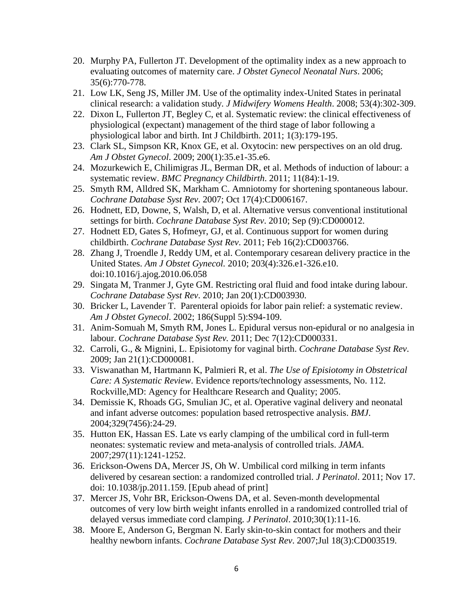- 20. Murphy PA, Fullerton JT. Development of the optimality index as a new approach to evaluating outcomes of maternity care. *J Obstet Gynecol Neonatal Nurs*. 2006; 35(6):770-778.
- 21. Low LK, Seng JS, Miller JM. Use of the optimality index-United States in perinatal clinical research: a validation study. *J Midwifery Womens Health*. 2008; 53(4):302-309.
- 22. Dixon L, Fullerton JT, Begley C, et al. Systematic review: the clinical effectiveness of physiological (expectant) management of the third stage of labor following a physiological labor and birth. Int J Childbirth. 2011; 1(3):179-195.
- 23. Clark SL, Simpson KR, Knox GE, et al. Oxytocin: new perspectives on an old drug. *Am J Obstet Gynecol*. 2009; 200(1):35.e1-35.e6.
- 24. Mozurkewich E, Chilimigras JL, Berman DR, et al. Methods of induction of labour: a systematic review. *BMC Pregnancy Childbirth*. 2011; 11(84):1-19.
- 25. Smyth RM, Alldred SK, Markham C. Amniotomy for shortening spontaneous labour. *Cochrane Database Syst Rev*. 2007; Oct 17(4):CD006167.
- 26. Hodnett, ED, Downe, S, Walsh, D, et al. Alternative versus conventional institutional settings for birth. *Cochrane Database Syst Rev*. 2010; Sep (9):CD000012.
- 27. Hodnett ED, Gates S, Hofmeyr, GJ, et al. Continuous support for women during childbirth. *Cochrane Database Syst Rev*. 2011; Feb 16(2):CD003766.
- 28. Zhang J, Troendle J, Reddy UM, et al. Contemporary cesarean delivery practice in the United States. *Am J Obstet Gynecol.* 2010; 203(4):326.e1-326.e10. doi:10.1016/j.ajog.2010.06.058
- 29. Singata M, Tranmer J, Gyte GM. Restricting oral fluid and food intake during labour. *Cochrane Database Syst Rev*. 2010; Jan 20(1):CD003930.
- 30. Bricker L, Lavender T. Parenteral opioids for labor pain relief: a systematic review. *Am J Obstet Gynecol*. 2002; 186(Suppl 5):S94-109.
- 31. Anim-Somuah M, Smyth RM, Jones L. Epidural versus non-epidural or no analgesia in labour. *Cochrane Database Syst Rev.* 2011; Dec 7(12):CD000331.
- 32. Carroli, G., & Mignini, L. Episiotomy for vaginal birth. *Cochrane Database Syst Rev*. 2009; Jan 21(1):CD000081.
- 33. Viswanathan M, Hartmann K, Palmieri R, et al. *The Use of Episiotomy in Obstetrical Care: A Systematic Review*. Evidence reports/technology assessments, No. 112. Rockville,MD: Agency for Healthcare Research and Quality; 2005.
- 34. Demissie K, Rhoads GG, Smulian JC, et al. Operative vaginal delivery and neonatal and infant adverse outcomes: population based retrospective analysis. *BMJ*. 2004;329(7456):24-29.
- 35. Hutton EK, Hassan ES. Late vs early clamping of the umbilical cord in full-term neonates: systematic review and meta-analysis of controlled trials. *JAMA*. 2007;297(11):1241-1252.
- 36. Erickson-Owens DA, Mercer JS, Oh W. Umbilical cord milking in term infants delivered by cesarean section: a randomized controlled trial. *J Perinatol*. 2011; Nov 17. doi: 10.1038/jp.2011.159. [Epub ahead of print]
- 37. Mercer JS, Vohr BR, Erickson-Owens DA, et al. Seven-month developmental outcomes of very low birth weight infants enrolled in a randomized controlled trial of delayed versus immediate cord clamping. *J Perinatol*. 2010;30(1):11-16.
- 38. Moore E, Anderson G, Bergman N. Early skin-to-skin contact for mothers and their healthy newborn infants. *Cochrane Database Syst Rev*. 2007;Jul 18(3):CD003519.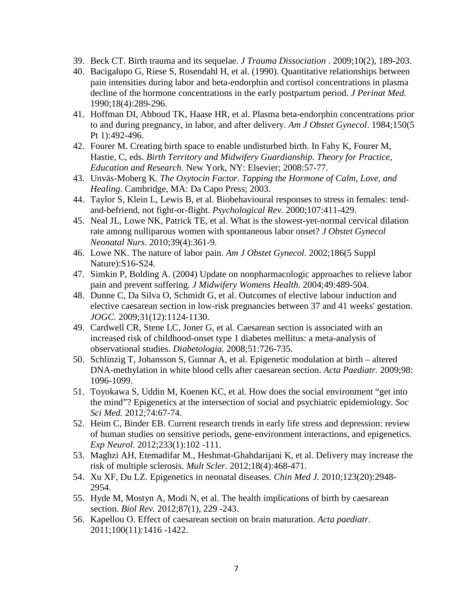- 39. Beck CT. Birth trauma and its sequelae. *J Trauma Dissociation* . 2009;10(2), 189-203.
- 40. Bacigalupo G, Riese S, Rosendahl H, et al. (1990). Quantitative relationships between pain intensities during labor and beta-endorphin and cortisol concentrations in plasma decline of the hormone concentrations in the early postpartum period. *J Perinat Med.* 1990;18(4):289-296.
- 41. Hoffman DI, Abboud TK, Haase HR, et al. Plasma beta-endorphin concentrations prior to and during pregnancy, in labor, and after delivery. *Am J Obstet Gynecol*. 1984;150(5 Pt 1):492-496.
- 42. Fourer M. Creating birth space to enable undisturbed birth. In Fahy K, Fourer M, Hastie, C, eds. *Birth Territory and Midwifery Guardianship. Theory for Practice, Education and Research*. New York, NY: Elsevier; 2008:57-77.
- 43. Unväs-Moberg K. *The Oxytocin Factor. Tapping the Hormone of Calm, Love, and Healing*. Cambridge, MA: Da Capo Press; 2003.
- 44. Taylor S, Klein L, Lewis B, et al. Biobehavioural responses to stress in females: tendand-befriend, not fight-or-flight. *Psychological Rev.* 2000;107:411-429.
- 45. Neal JL, Lowe NK, Patrick TE, et al. What is the slowest-yet-normal cervical dilation rate among nulliparous women with spontaneous labor onset? *J Obstet Gynecol Neonatal Nurs*. 2010;39(4):361-9.
- 46. Lowe NK. The nature of labor pain. *Am J Obstet Gynecol*. 2002;186(5 Suppl Nature):S16-S24.
- 47. Simkin P, Bolding A. (2004) Update on nonpharmacologic approaches to relieve labor pain and prevent suffering. *J Midwifery Womens Health*. 2004;49:489-504.
- 48. Dunne C, Da Silva O, Schmidt G, et al. Outcomes of elective labour induction and elective caesarean section in low-risk pregnancies between 37 and 41 weeks' gestation. *JOGC.* 2009;31(12):1124-1130.
- 49. Cardwell CR, Stene LC, Joner G, et al. Caesarean section is associated with an increased risk of childhood-onset type 1 diabetes mellitus: a meta-analysis of observational studies. *Diabetologia.* 2008;51:726-735.
- 50. Schlinzig T, Johansson S, Gunnar A, et al. Epigenetic modulation at birth altered DNA-methylation in white blood cells after caesarean section. *Acta Paediatr.* 2009;98: 1096-1099.
- 51. Toyokawa S, Uddin M, Koenen KC, et al. How does the social environment "get into the mind"? Epigenetics at the intersection of social and psychiatric epidemiology. *Soc Sci Med.* 2012;74:67-74.
- 52. Heim C, Binder EB. Current research trends in early life stress and depression: review of human studies on sensitive periods, gene-environment interactions, and epigenetics. *Exp Neurol.* 2012;233(1):102 -111.
- 53. Maghzi AH, Etemadifar M., Heshmat-Ghahdarijani K, et al. Delivery may increase the risk of multiple sclerosis. *Mult Scler.* 2012;18(4):468-471.
- 54. Xu XF, Du LZ. Epigenetics in neonatal diseases. *Chin Med J.* 2010;123(20):2948- 2954.
- 55. Hyde M, Mostyn A, Modi N, et al. The health implications of birth by caesarean section. *Biol Rev.* 2012;87(1), 229 -243.
- 56. Kapellou O. Effect of caesarean section on brain maturation. *Acta paediatr*. 2011;100(11):1416 -1422.